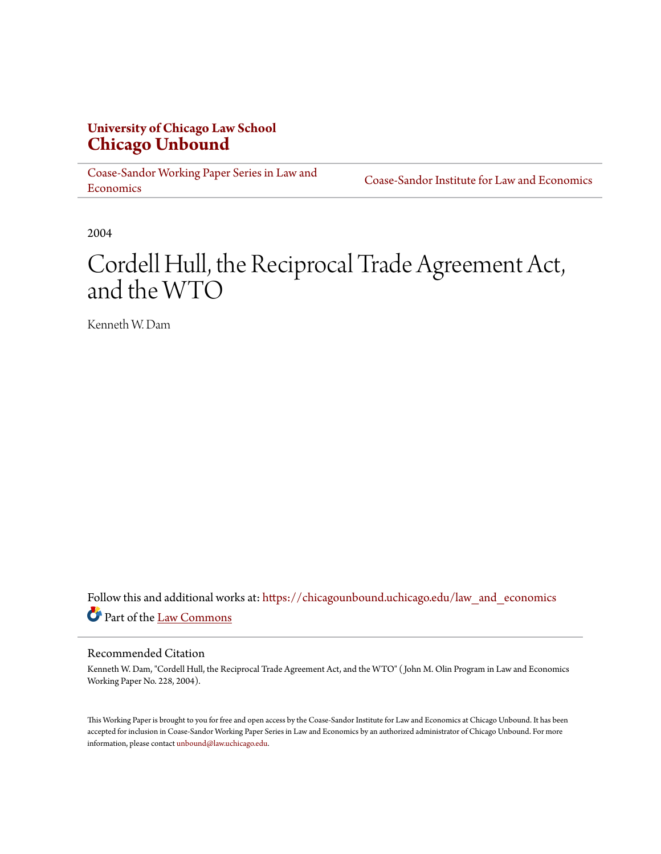# **University of Chicago Law School [Chicago Unbound](https://chicagounbound.uchicago.edu?utm_source=chicagounbound.uchicago.edu%2Flaw_and_economics%2F134&utm_medium=PDF&utm_campaign=PDFCoverPages)**

[Coase-Sandor Working Paper Series in Law and](https://chicagounbound.uchicago.edu/law_and_economics?utm_source=chicagounbound.uchicago.edu%2Flaw_and_economics%2F134&utm_medium=PDF&utm_campaign=PDFCoverPages) [Economics](https://chicagounbound.uchicago.edu/law_and_economics?utm_source=chicagounbound.uchicago.edu%2Flaw_and_economics%2F134&utm_medium=PDF&utm_campaign=PDFCoverPages)

[Coase-Sandor Institute for Law and Economics](https://chicagounbound.uchicago.edu/coase_sandor_institute?utm_source=chicagounbound.uchicago.edu%2Flaw_and_economics%2F134&utm_medium=PDF&utm_campaign=PDFCoverPages)

2004

# Cordell Hull, the Reciprocal Trade Agreement Act, and the WTO

Kenneth W. Dam

Follow this and additional works at: [https://chicagounbound.uchicago.edu/law\\_and\\_economics](https://chicagounbound.uchicago.edu/law_and_economics?utm_source=chicagounbound.uchicago.edu%2Flaw_and_economics%2F134&utm_medium=PDF&utm_campaign=PDFCoverPages) Part of the [Law Commons](http://network.bepress.com/hgg/discipline/578?utm_source=chicagounbound.uchicago.edu%2Flaw_and_economics%2F134&utm_medium=PDF&utm_campaign=PDFCoverPages)

#### Recommended Citation

Kenneth W. Dam, "Cordell Hull, the Reciprocal Trade Agreement Act, and the WTO" ( John M. Olin Program in Law and Economics Working Paper No. 228, 2004).

This Working Paper is brought to you for free and open access by the Coase-Sandor Institute for Law and Economics at Chicago Unbound. It has been accepted for inclusion in Coase-Sandor Working Paper Series in Law and Economics by an authorized administrator of Chicago Unbound. For more information, please contact [unbound@law.uchicago.edu.](mailto:unbound@law.uchicago.edu)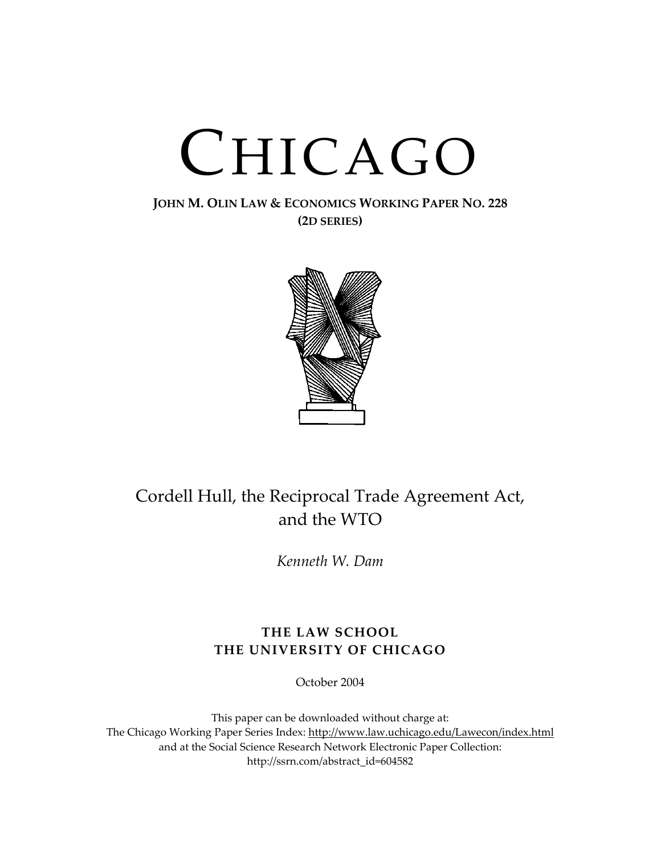# CHICAGO

### **JOHN M. OLIN LAW & ECONOMICS WORKING PAPER NO. 228 (2D SERIES)**



# Cordell Hull, the Reciprocal Trade Agreement Act, and the WTO

*Kenneth W. Dam*

## **THE LAW SCHOOL THE UNIVERSITY OF CHICAGO**

October 2004

This paper can be downloaded without charge at: The Chicago Working Paper Series Index: <http://www.law.uchicago.edu/Lawecon/index.html> and at the Social Science Research Network Electronic Paper Collection: [http://ssrn.com/abstract\\_id=604582](http://papers.ssrn.com/sol3/search.taf)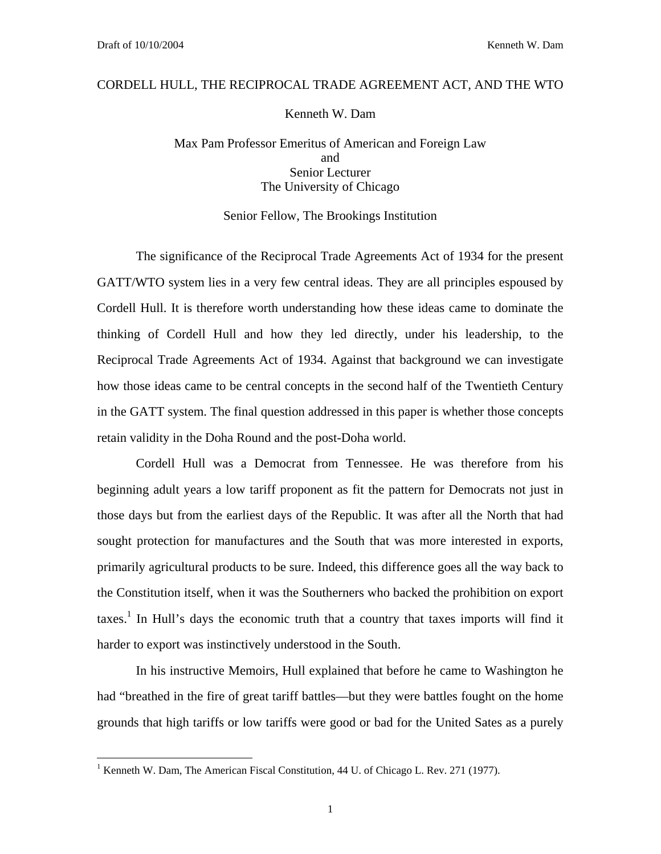#### CORDELL HULL, THE RECIPROCAL TRADE AGREEMENT ACT, AND THE WTO

Kenneth W. Dam

Max Pam Professor Emeritus of American and Foreign Law and Senior Lecturer The University of Chicago

#### Senior Fellow, The Brookings Institution

The significance of the Reciprocal Trade Agreements Act of 1934 for the present GATT/WTO system lies in a very few central ideas. They are all principles espoused by Cordell Hull. It is therefore worth understanding how these ideas came to dominate the thinking of Cordell Hull and how they led directly, under his leadership, to the Reciprocal Trade Agreements Act of 1934. Against that background we can investigate how those ideas came to be central concepts in the second half of the Twentieth Century in the GATT system. The final question addressed in this paper is whether those concepts retain validity in the Doha Round and the post-Doha world.

Cordell Hull was a Democrat from Tennessee. He was therefore from his beginning adult years a low tariff proponent as fit the pattern for Democrats not just in those days but from the earliest days of the Republic. It was after all the North that had sought protection for manufactures and the South that was more interested in exports, primarily agricultural products to be sure. Indeed, this difference goes all the way back to the Constitution itself, when it was the Southerners who backed the prohibition on export taxes.<sup>[1](#page-2-0)</sup> In Hull's days the economic truth that a country that taxes imports will find it harder to export was instinctively understood in the South.

In his instructive Memoirs, Hull explained that before he came to Washington he had "breathed in the fire of great tariff battles—but they were battles fought on the home grounds that high tariffs or low tariffs were good or bad for the United Sates as a purely

<span id="page-2-0"></span><sup>&</sup>lt;sup>1</sup> Kenneth W. Dam, The American Fiscal Constitution, 44 U. of Chicago L. Rev. 271 (1977).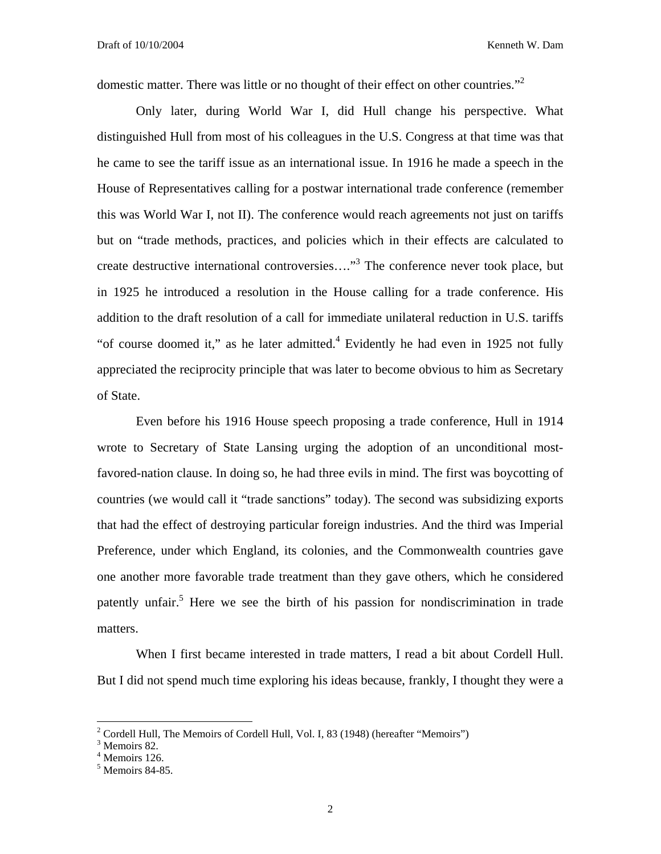domestic matter. There was little or no thought of their effect on other countries."<sup>[2](#page-3-0)</sup>

Only later, during World War I, did Hull change his perspective. What distinguished Hull from most of his colleagues in the U.S. Congress at that time was that he came to see the tariff issue as an international issue. In 1916 he made a speech in the House of Representatives calling for a postwar international trade conference (remember this was World War I, not II). The conference would reach agreements not just on tariffs but on "trade methods, practices, and policies which in their effects are calculated to create destructive international controversies...."<sup>[3](#page-3-1)</sup> The conference never took place, but in 1925 he introduced a resolution in the House calling for a trade conference. His addition to the draft resolution of a call for immediate unilateral reduction in U.S. tariffs "of course doomed it," as he later admitted.<sup>[4](#page-3-2)</sup> Evidently he had even in 1925 not fully appreciated the reciprocity principle that was later to become obvious to him as Secretary of State.

Even before his 1916 House speech proposing a trade conference, Hull in 1914 wrote to Secretary of State Lansing urging the adoption of an unconditional mostfavored-nation clause. In doing so, he had three evils in mind. The first was boycotting of countries (we would call it "trade sanctions" today). The second was subsidizing exports that had the effect of destroying particular foreign industries. And the third was Imperial Preference, under which England, its colonies, and the Commonwealth countries gave one another more favorable trade treatment than they gave others, which he considered patently unfair.<sup>[5](#page-3-3)</sup> Here we see the birth of his passion for nondiscrimination in trade matters.

When I first became interested in trade matters, I read a bit about Cordell Hull. But I did not spend much time exploring his ideas because, frankly, I thought they were a

 $\overline{a}$ 

<span id="page-3-0"></span><sup>&</sup>lt;sup>2</sup> Cordell Hull, The Memoirs of Cordell Hull, Vol. I, 83 (1948) (hereafter "Memoirs")  $\frac{3 \text{ Memoirs}}{2}$ 

<span id="page-3-1"></span> $3$  Memoirs 82.

<span id="page-3-2"></span> $4$  Memoirs 126.

<span id="page-3-3"></span> $<sup>5</sup>$  Memoirs 84-85.</sup>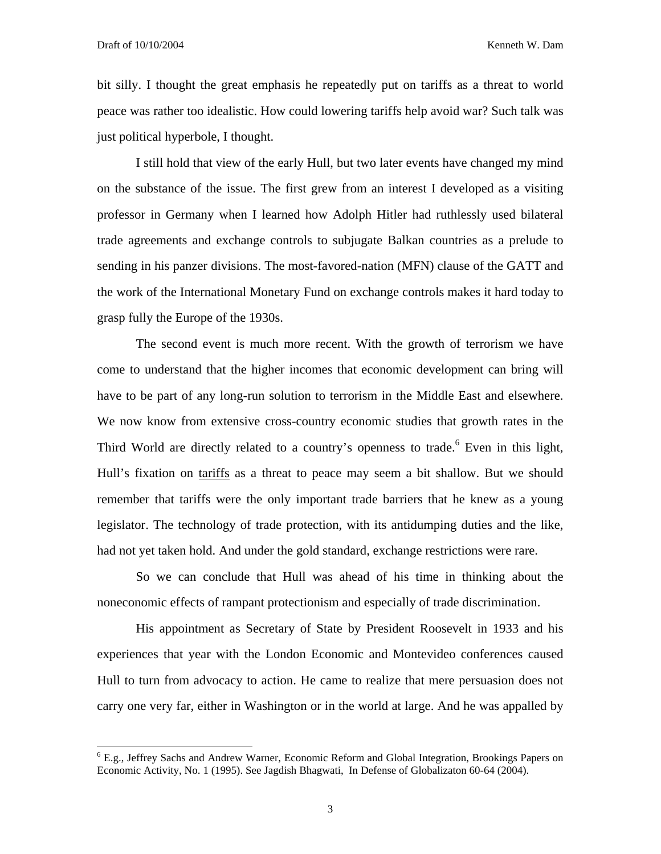bit silly. I thought the great emphasis he repeatedly put on tariffs as a threat to world peace was rather too idealistic. How could lowering tariffs help avoid war? Such talk was just political hyperbole, I thought.

I still hold that view of the early Hull, but two later events have changed my mind on the substance of the issue. The first grew from an interest I developed as a visiting professor in Germany when I learned how Adolph Hitler had ruthlessly used bilateral trade agreements and exchange controls to subjugate Balkan countries as a prelude to sending in his panzer divisions. The most-favored-nation (MFN) clause of the GATT and the work of the International Monetary Fund on exchange controls makes it hard today to grasp fully the Europe of the 1930s.

The second event is much more recent. With the growth of terrorism we have come to understand that the higher incomes that economic development can bring will have to be part of any long-run solution to terrorism in the Middle East and elsewhere. We now know from extensive cross-country economic studies that growth rates in the Third World are directly related to a country's openness to trade.<sup>[6](#page-4-0)</sup> Even in this light, Hull's fixation on tariffs as a threat to peace may seem a bit shallow. But we should remember that tariffs were the only important trade barriers that he knew as a young legislator. The technology of trade protection, with its antidumping duties and the like, had not yet taken hold. And under the gold standard, exchange restrictions were rare.

So we can conclude that Hull was ahead of his time in thinking about the noneconomic effects of rampant protectionism and especially of trade discrimination.

His appointment as Secretary of State by President Roosevelt in 1933 and his experiences that year with the London Economic and Montevideo conferences caused Hull to turn from advocacy to action. He came to realize that mere persuasion does not carry one very far, either in Washington or in the world at large. And he was appalled by

<span id="page-4-0"></span><sup>&</sup>lt;sup>6</sup> E.g., Jeffrey Sachs and Andrew Warner, Economic Reform and Global Integration, Brookings Papers on Economic Activity, No. 1 (1995). See Jagdish Bhagwati, In Defense of Globalizaton 60-64 (2004).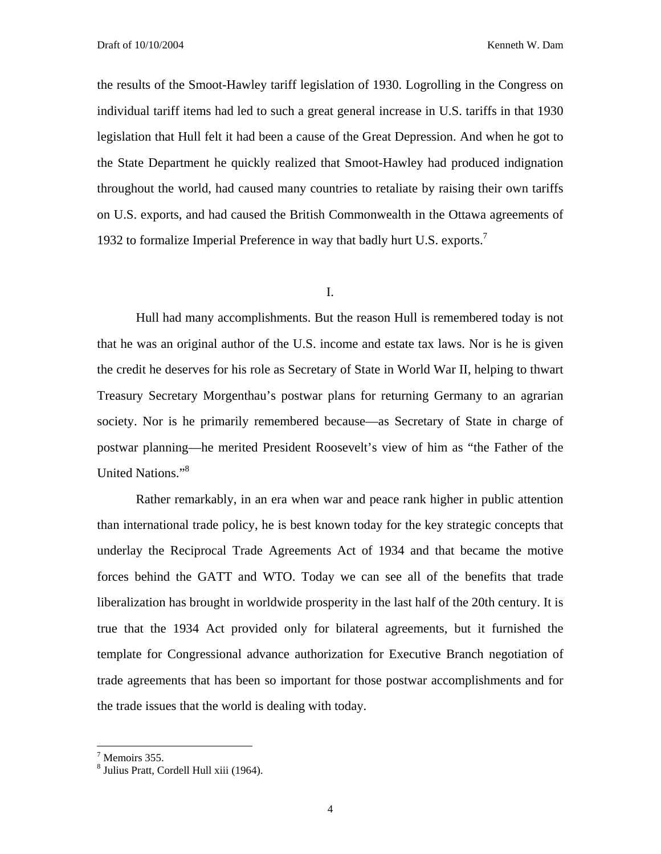the results of the Smoot-Hawley tariff legislation of 1930. Logrolling in the Congress on individual tariff items had led to such a great general increase in U.S. tariffs in that 1930 legislation that Hull felt it had been a cause of the Great Depression. And when he got to the State Department he quickly realized that Smoot-Hawley had produced indignation throughout the world, had caused many countries to retaliate by raising their own tariffs on U.S. exports, and had caused the British Commonwealth in the Ottawa agreements of 1932 to formalize Imperial Preference in way that badly hurt U.S. exports.<sup>[7](#page-5-0)</sup>

#### I.

Hull had many accomplishments. But the reason Hull is remembered today is not that he was an original author of the U.S. income and estate tax laws. Nor is he is given the credit he deserves for his role as Secretary of State in World War II, helping to thwart Treasury Secretary Morgenthau's postwar plans for returning Germany to an agrarian society. Nor is he primarily remembered because—as Secretary of State in charge of postwar planning—he merited President Roosevelt's view of him as "the Father of the United Nations."<sup>[8](#page-5-1)</sup>

Rather remarkably, in an era when war and peace rank higher in public attention than international trade policy, he is best known today for the key strategic concepts that underlay the Reciprocal Trade Agreements Act of 1934 and that became the motive forces behind the GATT and WTO. Today we can see all of the benefits that trade liberalization has brought in worldwide prosperity in the last half of the 20th century. It is true that the 1934 Act provided only for bilateral agreements, but it furnished the template for Congressional advance authorization for Executive Branch negotiation of trade agreements that has been so important for those postwar accomplishments and for the trade issues that the world is dealing with today.

 $\overline{a}$ 

<span id="page-5-0"></span> $^7$  Memoirs 355.<br> $^8$  Julius Prett, Ce

<span id="page-5-1"></span><sup>&</sup>lt;sup>8</sup> Julius Pratt, Cordell Hull xiii (1964).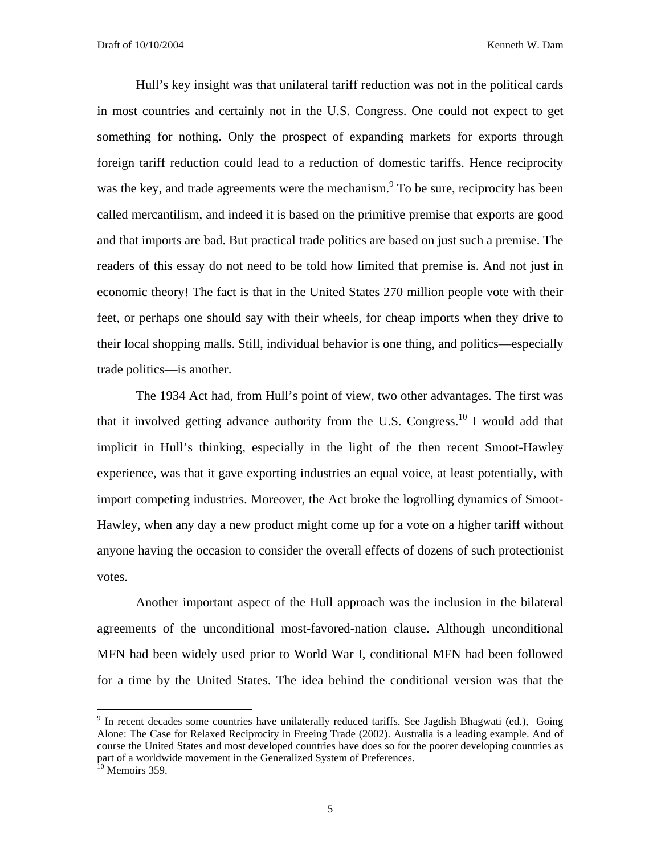Hull's key insight was that unilateral tariff reduction was not in the political cards in most countries and certainly not in the U.S. Congress. One could not expect to get something for nothing. Only the prospect of expanding markets for exports through foreign tariff reduction could lead to a reduction of domestic tariffs. Hence reciprocity was the key, and trade agreements were the mechanism.<sup>[9](#page-6-0)</sup> To be sure, reciprocity has been called mercantilism, and indeed it is based on the primitive premise that exports are good and that imports are bad. But practical trade politics are based on just such a premise. The readers of this essay do not need to be told how limited that premise is. And not just in economic theory! The fact is that in the United States 270 million people vote with their feet, or perhaps one should say with their wheels, for cheap imports when they drive to their local shopping malls. Still, individual behavior is one thing, and politics—especially trade politics—is another.

The 1934 Act had, from Hull's point of view, two other advantages. The first was that it involved getting advance authority from the U.S. Congress.<sup>[10](#page-6-1)</sup> I would add that implicit in Hull's thinking, especially in the light of the then recent Smoot-Hawley experience, was that it gave exporting industries an equal voice, at least potentially, with import competing industries. Moreover, the Act broke the logrolling dynamics of Smoot-Hawley, when any day a new product might come up for a vote on a higher tariff without anyone having the occasion to consider the overall effects of dozens of such protectionist votes.

Another important aspect of the Hull approach was the inclusion in the bilateral agreements of the unconditional most-favored-nation clause. Although unconditional MFN had been widely used prior to World War I, conditional MFN had been followed for a time by the United States. The idea behind the conditional version was that the

<span id="page-6-0"></span><sup>&</sup>lt;sup>9</sup> In recent decades some countries have unilaterally reduced tariffs. See Jagdish Bhagwati (ed.), Going Alone: The Case for Relaxed Reciprocity in Freeing Trade (2002). Australia is a leading example. And of course the United States and most developed countries have does so for the poorer developing countries as part of a worldwide movement in the Generalized System of Preferences.<br><sup>10</sup> Memoirs 359.

<span id="page-6-1"></span>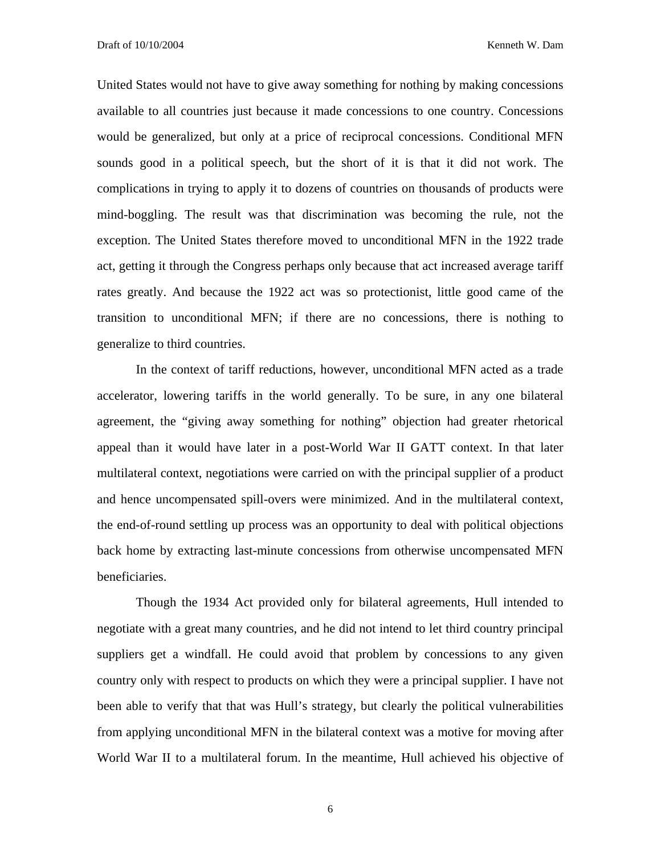United States would not have to give away something for nothing by making concessions available to all countries just because it made concessions to one country. Concessions would be generalized, but only at a price of reciprocal concessions. Conditional MFN sounds good in a political speech, but the short of it is that it did not work. The complications in trying to apply it to dozens of countries on thousands of products were mind-boggling. The result was that discrimination was becoming the rule, not the exception. The United States therefore moved to unconditional MFN in the 1922 trade act, getting it through the Congress perhaps only because that act increased average tariff rates greatly. And because the 1922 act was so protectionist, little good came of the transition to unconditional MFN; if there are no concessions, there is nothing to generalize to third countries.

In the context of tariff reductions, however, unconditional MFN acted as a trade accelerator, lowering tariffs in the world generally. To be sure, in any one bilateral agreement, the "giving away something for nothing" objection had greater rhetorical appeal than it would have later in a post-World War II GATT context. In that later multilateral context, negotiations were carried on with the principal supplier of a product and hence uncompensated spill-overs were minimized. And in the multilateral context, the end-of-round settling up process was an opportunity to deal with political objections back home by extracting last-minute concessions from otherwise uncompensated MFN beneficiaries.

Though the 1934 Act provided only for bilateral agreements, Hull intended to negotiate with a great many countries, and he did not intend to let third country principal suppliers get a windfall. He could avoid that problem by concessions to any given country only with respect to products on which they were a principal supplier. I have not been able to verify that that was Hull's strategy, but clearly the political vulnerabilities from applying unconditional MFN in the bilateral context was a motive for moving after World War II to a multilateral forum. In the meantime, Hull achieved his objective of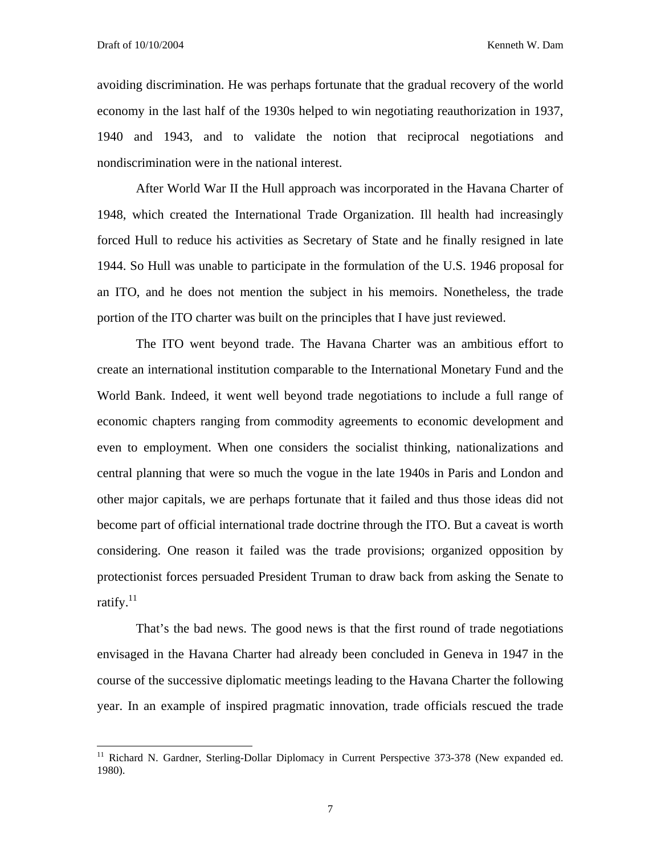avoiding discrimination. He was perhaps fortunate that the gradual recovery of the world economy in the last half of the 1930s helped to win negotiating reauthorization in 1937, 1940 and 1943, and to validate the notion that reciprocal negotiations and nondiscrimination were in the national interest.

After World War II the Hull approach was incorporated in the Havana Charter of 1948, which created the International Trade Organization. Ill health had increasingly forced Hull to reduce his activities as Secretary of State and he finally resigned in late 1944. So Hull was unable to participate in the formulation of the U.S. 1946 proposal for an ITO, and he does not mention the subject in his memoirs. Nonetheless, the trade portion of the ITO charter was built on the principles that I have just reviewed.

The ITO went beyond trade. The Havana Charter was an ambitious effort to create an international institution comparable to the International Monetary Fund and the World Bank. Indeed, it went well beyond trade negotiations to include a full range of economic chapters ranging from commodity agreements to economic development and even to employment. When one considers the socialist thinking, nationalizations and central planning that were so much the vogue in the late 1940s in Paris and London and other major capitals, we are perhaps fortunate that it failed and thus those ideas did not become part of official international trade doctrine through the ITO. But a caveat is worth considering. One reason it failed was the trade provisions; organized opposition by protectionist forces persuaded President Truman to draw back from asking the Senate to ratify.<sup>[11](#page-8-0)</sup>

That's the bad news. The good news is that the first round of trade negotiations envisaged in the Havana Charter had already been concluded in Geneva in 1947 in the course of the successive diplomatic meetings leading to the Havana Charter the following year. In an example of inspired pragmatic innovation, trade officials rescued the trade

<span id="page-8-0"></span><sup>&</sup>lt;sup>11</sup> Richard N. Gardner, Sterling-Dollar Diplomacy in Current Perspective 373-378 (New expanded ed. 1980).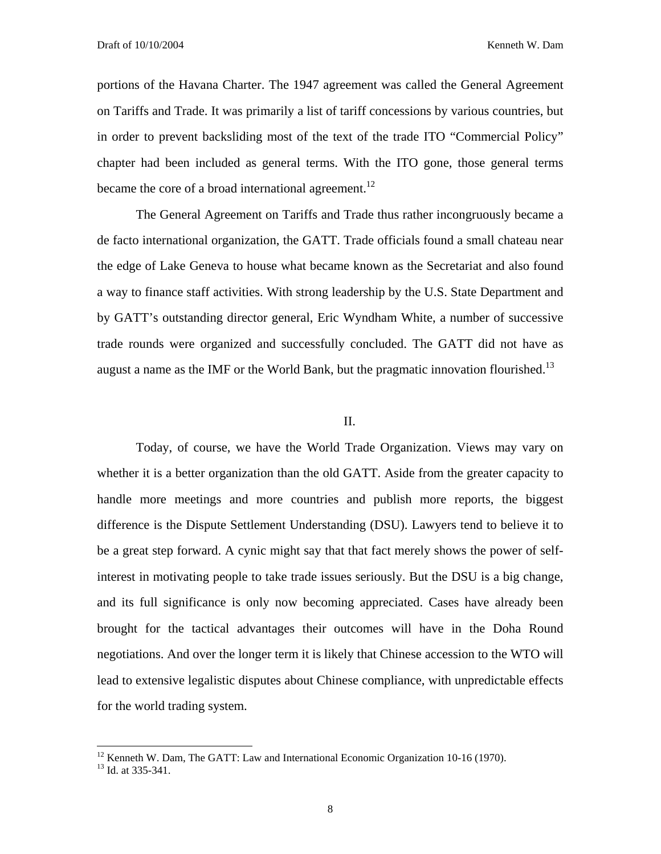portions of the Havana Charter. The 1947 agreement was called the General Agreement on Tariffs and Trade. It was primarily a list of tariff concessions by various countries, but in order to prevent backsliding most of the text of the trade ITO "Commercial Policy" chapter had been included as general terms. With the ITO gone, those general terms became the core of a broad international agreement.<sup>[12](#page-9-0)</sup>

The General Agreement on Tariffs and Trade thus rather incongruously became a de facto international organization, the GATT. Trade officials found a small chateau near the edge of Lake Geneva to house what became known as the Secretariat and also found a way to finance staff activities. With strong leadership by the U.S. State Department and by GATT's outstanding director general, Eric Wyndham White, a number of successive trade rounds were organized and successfully concluded. The GATT did not have as august a name as the IMF or the World Bank, but the pragmatic innovation flourished.<sup>[13](#page-9-1)</sup>

#### II.

Today, of course, we have the World Trade Organization. Views may vary on whether it is a better organization than the old GATT. Aside from the greater capacity to handle more meetings and more countries and publish more reports, the biggest difference is the Dispute Settlement Understanding (DSU). Lawyers tend to believe it to be a great step forward. A cynic might say that that fact merely shows the power of selfinterest in motivating people to take trade issues seriously. But the DSU is a big change, and its full significance is only now becoming appreciated. Cases have already been brought for the tactical advantages their outcomes will have in the Doha Round negotiations. And over the longer term it is likely that Chinese accession to the WTO will lead to extensive legalistic disputes about Chinese compliance, with unpredictable effects for the world trading system.

 $\overline{a}$ 

<span id="page-9-0"></span><sup>&</sup>lt;sup>12</sup> Kenneth W. Dam, The GATT: Law and International Economic Organization 10-16 (1970).<sup>13</sup> Id. at 335-341.

<span id="page-9-1"></span>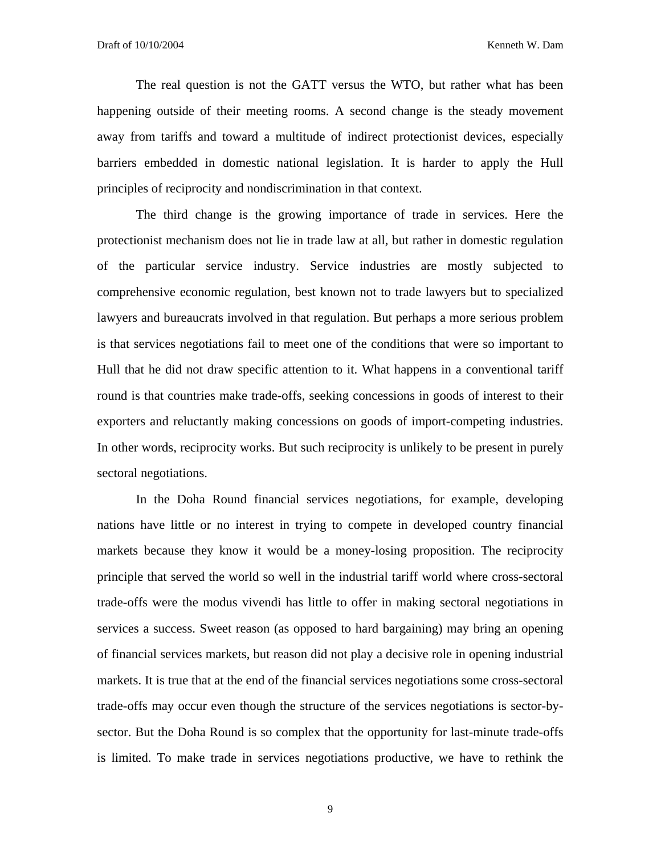The real question is not the GATT versus the WTO, but rather what has been happening outside of their meeting rooms. A second change is the steady movement away from tariffs and toward a multitude of indirect protectionist devices, especially barriers embedded in domestic national legislation. It is harder to apply the Hull principles of reciprocity and nondiscrimination in that context.

The third change is the growing importance of trade in services. Here the protectionist mechanism does not lie in trade law at all, but rather in domestic regulation of the particular service industry. Service industries are mostly subjected to comprehensive economic regulation, best known not to trade lawyers but to specialized lawyers and bureaucrats involved in that regulation. But perhaps a more serious problem is that services negotiations fail to meet one of the conditions that were so important to Hull that he did not draw specific attention to it. What happens in a conventional tariff round is that countries make trade-offs, seeking concessions in goods of interest to their exporters and reluctantly making concessions on goods of import-competing industries. In other words, reciprocity works. But such reciprocity is unlikely to be present in purely sectoral negotiations.

In the Doha Round financial services negotiations, for example, developing nations have little or no interest in trying to compete in developed country financial markets because they know it would be a money-losing proposition. The reciprocity principle that served the world so well in the industrial tariff world where cross-sectoral trade-offs were the modus vivendi has little to offer in making sectoral negotiations in services a success. Sweet reason (as opposed to hard bargaining) may bring an opening of financial services markets, but reason did not play a decisive role in opening industrial markets. It is true that at the end of the financial services negotiations some cross-sectoral trade-offs may occur even though the structure of the services negotiations is sector-bysector. But the Doha Round is so complex that the opportunity for last-minute trade-offs is limited. To make trade in services negotiations productive, we have to rethink the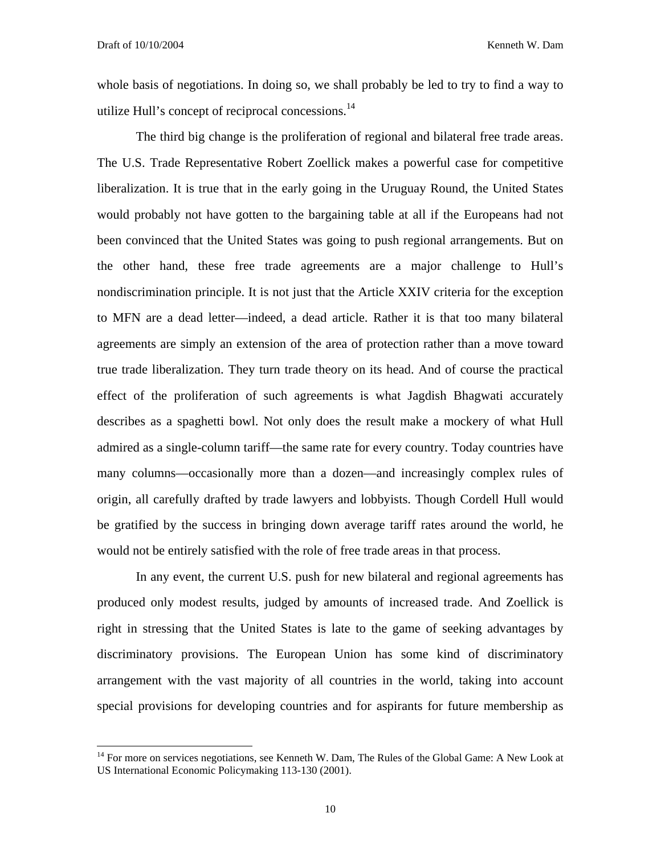whole basis of negotiations. In doing so, we shall probably be led to try to find a way to utilize Hull's concept of reciprocal concessions. $^{14}$  $^{14}$  $^{14}$ 

The third big change is the proliferation of regional and bilateral free trade areas. The U.S. Trade Representative Robert Zoellick makes a powerful case for competitive liberalization. It is true that in the early going in the Uruguay Round, the United States would probably not have gotten to the bargaining table at all if the Europeans had not been convinced that the United States was going to push regional arrangements. But on the other hand, these free trade agreements are a major challenge to Hull's nondiscrimination principle. It is not just that the Article XXIV criteria for the exception to MFN are a dead letter—indeed, a dead article. Rather it is that too many bilateral agreements are simply an extension of the area of protection rather than a move toward true trade liberalization. They turn trade theory on its head. And of course the practical effect of the proliferation of such agreements is what Jagdish Bhagwati accurately describes as a spaghetti bowl. Not only does the result make a mockery of what Hull admired as a single-column tariff—the same rate for every country. Today countries have many columns—occasionally more than a dozen—and increasingly complex rules of origin, all carefully drafted by trade lawyers and lobbyists. Though Cordell Hull would be gratified by the success in bringing down average tariff rates around the world, he would not be entirely satisfied with the role of free trade areas in that process.

In any event, the current U.S. push for new bilateral and regional agreements has produced only modest results, judged by amounts of increased trade. And Zoellick is right in stressing that the United States is late to the game of seeking advantages by discriminatory provisions. The European Union has some kind of discriminatory arrangement with the vast majority of all countries in the world, taking into account special provisions for developing countries and for aspirants for future membership as

<span id="page-11-0"></span> $14$  For more on services negotiations, see Kenneth W. Dam, The Rules of the Global Game: A New Look at US International Economic Policymaking 113-130 (2001).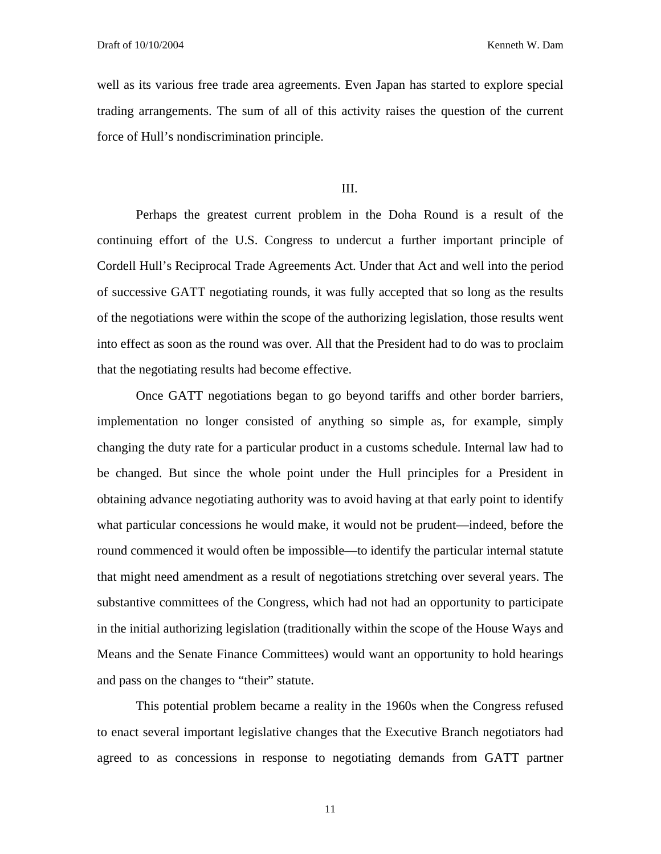well as its various free trade area agreements. Even Japan has started to explore special trading arrangements. The sum of all of this activity raises the question of the current force of Hull's nondiscrimination principle.

#### III.

Perhaps the greatest current problem in the Doha Round is a result of the continuing effort of the U.S. Congress to undercut a further important principle of Cordell Hull's Reciprocal Trade Agreements Act. Under that Act and well into the period of successive GATT negotiating rounds, it was fully accepted that so long as the results of the negotiations were within the scope of the authorizing legislation, those results went into effect as soon as the round was over. All that the President had to do was to proclaim that the negotiating results had become effective.

Once GATT negotiations began to go beyond tariffs and other border barriers, implementation no longer consisted of anything so simple as, for example, simply changing the duty rate for a particular product in a customs schedule. Internal law had to be changed. But since the whole point under the Hull principles for a President in obtaining advance negotiating authority was to avoid having at that early point to identify what particular concessions he would make, it would not be prudent—indeed, before the round commenced it would often be impossible—to identify the particular internal statute that might need amendment as a result of negotiations stretching over several years. The substantive committees of the Congress, which had not had an opportunity to participate in the initial authorizing legislation (traditionally within the scope of the House Ways and Means and the Senate Finance Committees) would want an opportunity to hold hearings and pass on the changes to "their" statute.

This potential problem became a reality in the 1960s when the Congress refused to enact several important legislative changes that the Executive Branch negotiators had agreed to as concessions in response to negotiating demands from GATT partner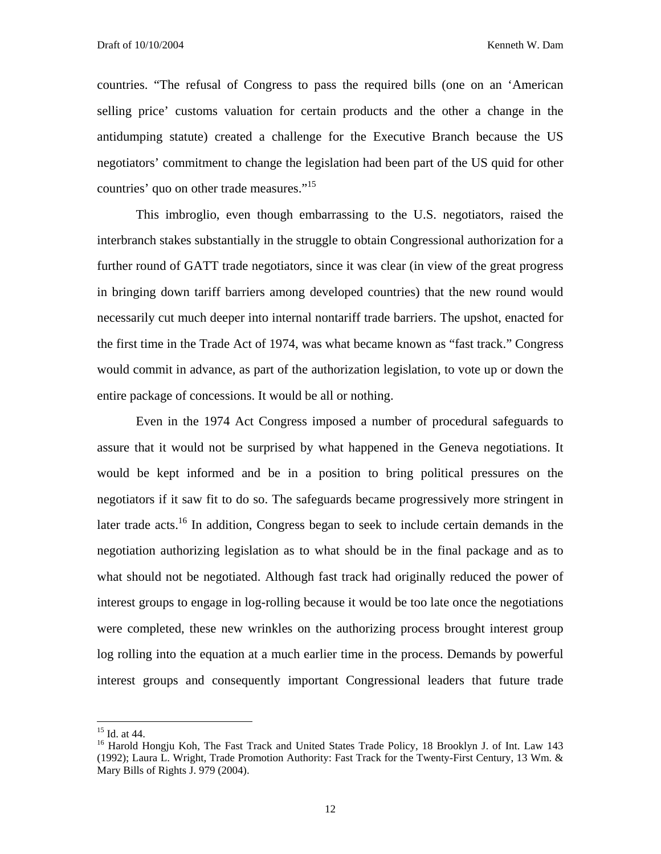countries. "The refusal of Congress to pass the required bills (one on an 'American selling price' customs valuation for certain products and the other a change in the antidumping statute) created a challenge for the Executive Branch because the US negotiators' commitment to change the legislation had been part of the US quid for other countries' quo on other trade measures."<sup>[15](#page-13-0)</sup>

This imbroglio, even though embarrassing to the U.S. negotiators, raised the interbranch stakes substantially in the struggle to obtain Congressional authorization for a further round of GATT trade negotiators, since it was clear (in view of the great progress in bringing down tariff barriers among developed countries) that the new round would necessarily cut much deeper into internal nontariff trade barriers. The upshot, enacted for the first time in the Trade Act of 1974, was what became known as "fast track." Congress would commit in advance, as part of the authorization legislation, to vote up or down the entire package of concessions. It would be all or nothing.

Even in the 1974 Act Congress imposed a number of procedural safeguards to assure that it would not be surprised by what happened in the Geneva negotiations. It would be kept informed and be in a position to bring political pressures on the negotiators if it saw fit to do so. The safeguards became progressively more stringent in later trade acts.<sup>[16](#page-13-1)</sup> In addition, Congress began to seek to include certain demands in the negotiation authorizing legislation as to what should be in the final package and as to what should not be negotiated. Although fast track had originally reduced the power of interest groups to engage in log-rolling because it would be too late once the negotiations were completed, these new wrinkles on the authorizing process brought interest group log rolling into the equation at a much earlier time in the process. Demands by powerful interest groups and consequently important Congressional leaders that future trade

<span id="page-13-0"></span> $15$  Id. at 44.

<span id="page-13-1"></span><sup>&</sup>lt;sup>16</sup> Harold Hongju Koh, The Fast Track and United States Trade Policy, 18 Brooklyn J. of Int. Law 143 (1992); Laura L. Wright, Trade Promotion Authority: Fast Track for the Twenty-First Century, 13 Wm. & Mary Bills of Rights J. 979 (2004).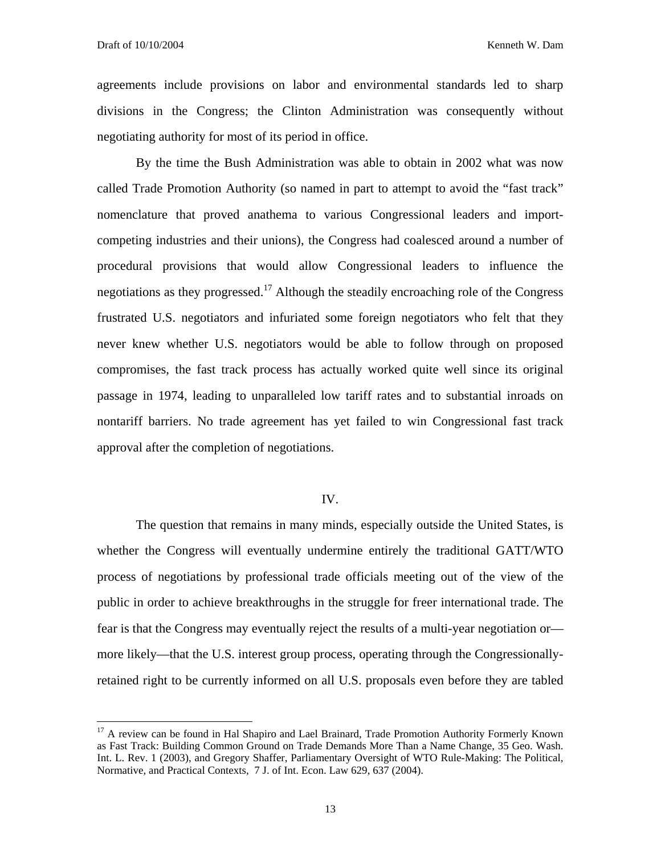1

agreements include provisions on labor and environmental standards led to sharp divisions in the Congress; the Clinton Administration was consequently without negotiating authority for most of its period in office.

By the time the Bush Administration was able to obtain in 2002 what was now called Trade Promotion Authority (so named in part to attempt to avoid the "fast track" nomenclature that proved anathema to various Congressional leaders and importcompeting industries and their unions), the Congress had coalesced around a number of procedural provisions that would allow Congressional leaders to influence the negotiations as they progressed.<sup>[17](#page-14-0)</sup> Although the steadily encroaching role of the Congress frustrated U.S. negotiators and infuriated some foreign negotiators who felt that they never knew whether U.S. negotiators would be able to follow through on proposed compromises, the fast track process has actually worked quite well since its original passage in 1974, leading to unparalleled low tariff rates and to substantial inroads on nontariff barriers. No trade agreement has yet failed to win Congressional fast track approval after the completion of negotiations.

#### IV.

The question that remains in many minds, especially outside the United States, is whether the Congress will eventually undermine entirely the traditional GATT/WTO process of negotiations by professional trade officials meeting out of the view of the public in order to achieve breakthroughs in the struggle for freer international trade. The fear is that the Congress may eventually reject the results of a multi-year negotiation or more likely—that the U.S. interest group process, operating through the Congressionallyretained right to be currently informed on all U.S. proposals even before they are tabled

<span id="page-14-0"></span><sup>&</sup>lt;sup>17</sup> A review can be found in Hal Shapiro and Lael Brainard, Trade Promotion Authority Formerly Known as Fast Track: Building Common Ground on Trade Demands More Than a Name Change, 35 Geo. Wash. Int. L. Rev. 1 (2003), and Gregory Shaffer, Parliamentary Oversight of WTO Rule-Making: The Political, Normative, and Practical Contexts, 7 J. of Int. Econ. Law 629, 637 (2004).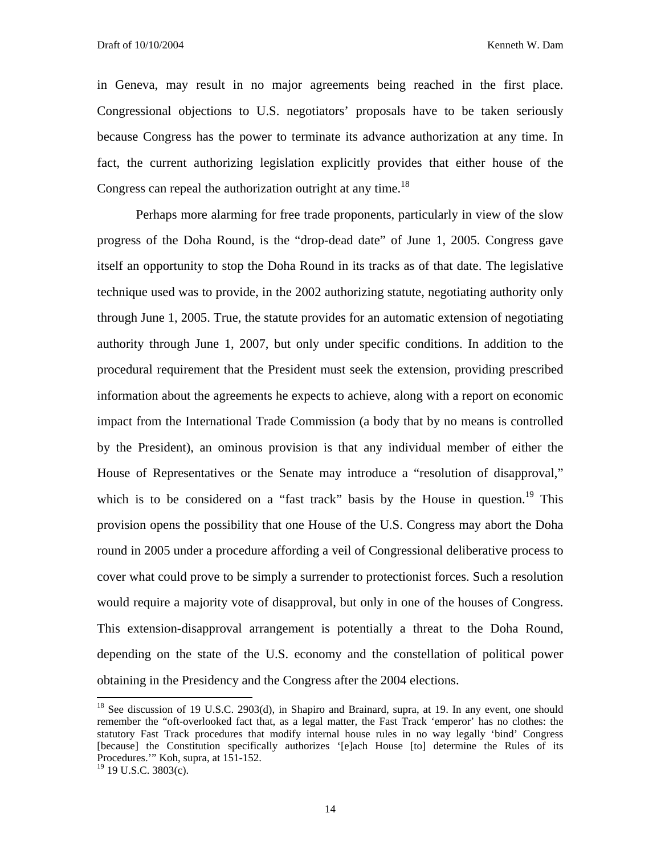in Geneva, may result in no major agreements being reached in the first place. Congressional objections to U.S. negotiators' proposals have to be taken seriously because Congress has the power to terminate its advance authorization at any time. In fact, the current authorizing legislation explicitly provides that either house of the Congress can repeal the authorization outright at any time.<sup>[18](#page-15-0)</sup>

Perhaps more alarming for free trade proponents, particularly in view of the slow progress of the Doha Round, is the "drop-dead date" of June 1, 2005. Congress gave itself an opportunity to stop the Doha Round in its tracks as of that date. The legislative technique used was to provide, in the 2002 authorizing statute, negotiating authority only through June 1, 2005. True, the statute provides for an automatic extension of negotiating authority through June 1, 2007, but only under specific conditions. In addition to the procedural requirement that the President must seek the extension, providing prescribed information about the agreements he expects to achieve, along with a report on economic impact from the International Trade Commission (a body that by no means is controlled by the President), an ominous provision is that any individual member of either the House of Representatives or the Senate may introduce a "resolution of disapproval," which is to be considered on a "fast track" basis by the House in question.<sup>[19](#page-15-1)</sup> This provision opens the possibility that one House of the U.S. Congress may abort the Doha round in 2005 under a procedure affording a veil of Congressional deliberative process to cover what could prove to be simply a surrender to protectionist forces. Such a resolution would require a majority vote of disapproval, but only in one of the houses of Congress. This extension-disapproval arrangement is potentially a threat to the Doha Round, depending on the state of the U.S. economy and the constellation of political power obtaining in the Presidency and the Congress after the 2004 elections.

<span id="page-15-0"></span><sup>&</sup>lt;sup>18</sup> See discussion of 19 U.S.C. 2903(d), in Shapiro and Brainard, supra, at 19. In any event, one should remember the "oft-overlooked fact that, as a legal matter, the Fast Track 'emperor' has no clothes: the statutory Fast Track procedures that modify internal house rules in no way legally 'bind' Congress [because] the Constitution specifically authorizes '[e]ach House [to] determine the Rules of its Procedures.'" Koh, supra, at 151-152.

<span id="page-15-1"></span> $19$  19 U.S.C. 3803(c).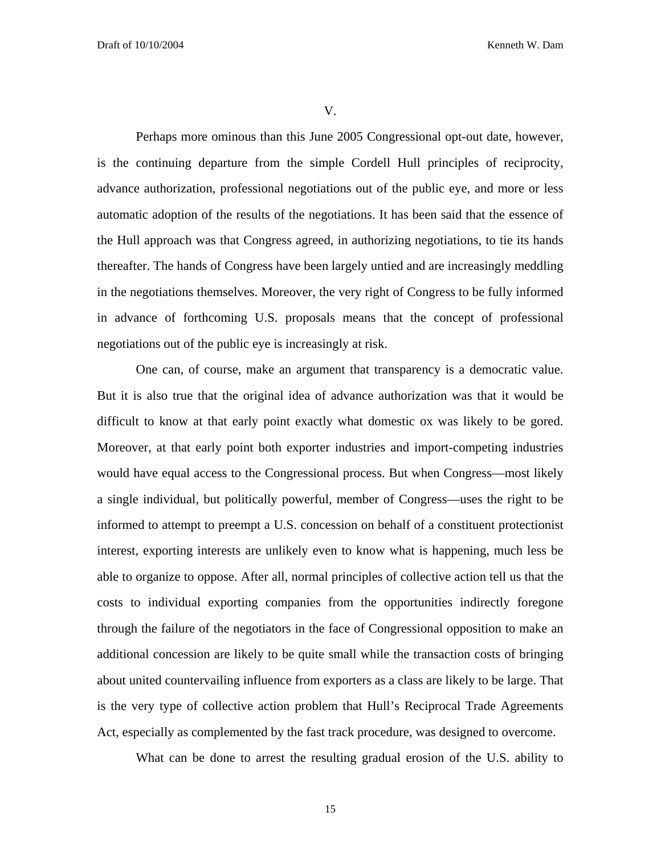V.

Perhaps more ominous than this June 2005 Congressional opt-out date, however, is the continuing departure from the simple Cordell Hull principles of reciprocity, advance authorization, professional negotiations out of the public eye, and more or less automatic adoption of the results of the negotiations. It has been said that the essence of the Hull approach was that Congress agreed, in authorizing negotiations, to tie its hands thereafter. The hands of Congress have been largely untied and are increasingly meddling in the negotiations themselves. Moreover, the very right of Congress to be fully informed in advance of forthcoming U.S. proposals means that the concept of professional negotiations out of the public eye is increasingly at risk.

One can, of course, make an argument that transparency is a democratic value. But it is also true that the original idea of advance authorization was that it would be difficult to know at that early point exactly what domestic ox was likely to be gored. Moreover, at that early point both exporter industries and import-competing industries would have equal access to the Congressional process. But when Congress—most likely a single individual, but politically powerful, member of Congress—uses the right to be informed to attempt to preempt a U.S. concession on behalf of a constituent protectionist interest, exporting interests are unlikely even to know what is happening, much less be able to organize to oppose. After all, normal principles of collective action tell us that the costs to individual exporting companies from the opportunities indirectly foregone through the failure of the negotiators in the face of Congressional opposition to make an additional concession are likely to be quite small while the transaction costs of bringing about united countervailing influence from exporters as a class are likely to be large. That is the very type of collective action problem that Hull's Reciprocal Trade Agreements Act, especially as complemented by the fast track procedure, was designed to overcome.

What can be done to arrest the resulting gradual erosion of the U.S. ability to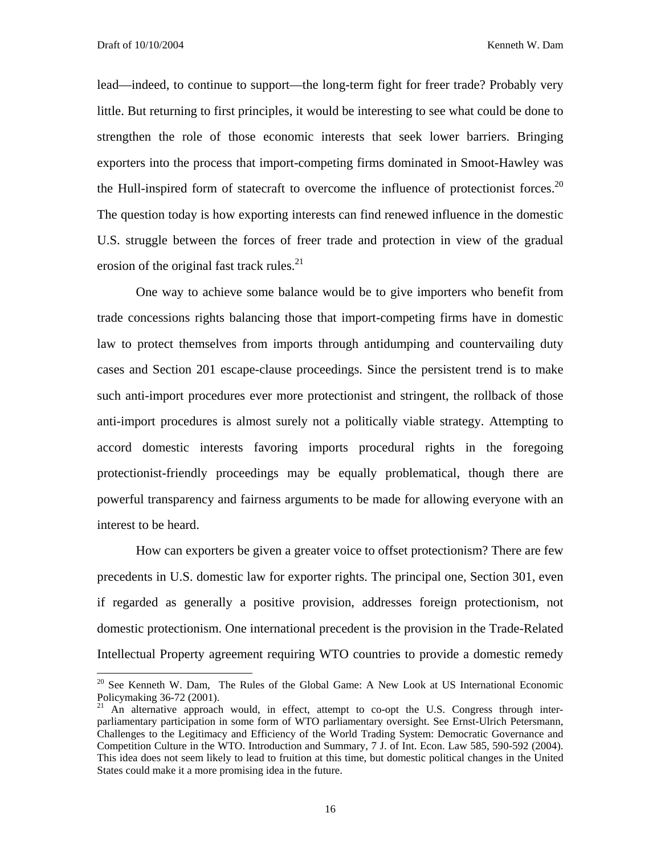1

lead—indeed, to continue to support—the long-term fight for freer trade? Probably very little. But returning to first principles, it would be interesting to see what could be done to strengthen the role of those economic interests that seek lower barriers. Bringing exporters into the process that import-competing firms dominated in Smoot-Hawley was the Hull-inspired form of statecraft to overcome the influence of protectionist forces.<sup>[20](#page-17-0)</sup> The question today is how exporting interests can find renewed influence in the domestic U.S. struggle between the forces of freer trade and protection in view of the gradual erosion of the original fast track rules. $^{21}$  $^{21}$  $^{21}$ 

One way to achieve some balance would be to give importers who benefit from trade concessions rights balancing those that import-competing firms have in domestic law to protect themselves from imports through antidumping and countervailing duty cases and Section 201 escape-clause proceedings. Since the persistent trend is to make such anti-import procedures ever more protectionist and stringent, the rollback of those anti-import procedures is almost surely not a politically viable strategy. Attempting to accord domestic interests favoring imports procedural rights in the foregoing protectionist-friendly proceedings may be equally problematical, though there are powerful transparency and fairness arguments to be made for allowing everyone with an interest to be heard.

How can exporters be given a greater voice to offset protectionism? There are few precedents in U.S. domestic law for exporter rights. The principal one, Section 301, even if regarded as generally a positive provision, addresses foreign protectionism, not domestic protectionism. One international precedent is the provision in the Trade-Related Intellectual Property agreement requiring WTO countries to provide a domestic remedy

<span id="page-17-0"></span> $20$  See Kenneth W. Dam, The Rules of the Global Game: A New Look at US International Economic Policymaking 36-72 (2001).<br><sup>21</sup> An alternative approach would, in effect, attempt to co-opt the U.S. Congress through inter-

<span id="page-17-1"></span>parliamentary participation in some form of WTO parliamentary oversight. See Ernst-Ulrich Petersmann, Challenges to the Legitimacy and Efficiency of the World Trading System: Democratic Governance and Competition Culture in the WTO. Introduction and Summary, 7 J. of Int. Econ. Law 585, 590-592 (2004). This idea does not seem likely to lead to fruition at this time, but domestic political changes in the United States could make it a more promising idea in the future.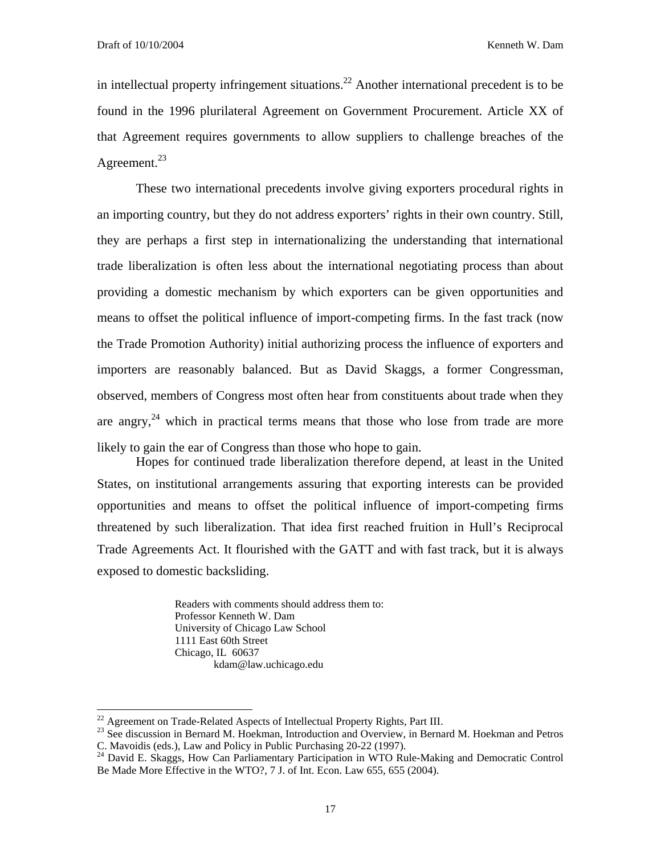in intellectual property infringement situations.<sup>[22](#page-18-0)</sup> Another international precedent is to be found in the 1996 plurilateral Agreement on Government Procurement. Article XX of that Agreement requires governments to allow suppliers to challenge breaches of the Agreement. $^{23}$  $^{23}$  $^{23}$ 

These two international precedents involve giving exporters procedural rights in an importing country, but they do not address exporters' rights in their own country. Still, they are perhaps a first step in internationalizing the understanding that international trade liberalization is often less about the international negotiating process than about providing a domestic mechanism by which exporters can be given opportunities and means to offset the political influence of import-competing firms. In the fast track (now the Trade Promotion Authority) initial authorizing process the influence of exporters and importers are reasonably balanced. But as David Skaggs, a former Congressman, observed, members of Congress most often hear from constituents about trade when they are angry, $24$  which in practical terms means that those who lose from trade are more likely to gain the ear of Congress than those who hope to gain.

Hopes for continued trade liberalization therefore depend, at least in the United States, on institutional arrangements assuring that exporting interests can be provided opportunities and means to offset the political influence of import-competing firms threatened by such liberalization. That idea first reached fruition in Hull's Reciprocal Trade Agreements Act. It flourished with the GATT and with fast track, but it is always exposed to domestic backsliding.

> Readers with comments should address them to: Professor Kenneth W. Dam University of Chicago Law School 1111 East 60th Street Chicago, IL 60637 kdam@law.uchicago.edu

<span id="page-18-1"></span><span id="page-18-0"></span>

<sup>&</sup>lt;sup>22</sup> Agreement on Trade-Related Aspects of Intellectual Property Rights, Part III.<br><sup>23</sup> See discussion in Bernard M. Hoekman, Introduction and Overview, in Bernard M. Hoekman and Petros C. Mavoidis (eds.), Law and Policy in Public Purchasing 20-22 (1997). 24 David E. Skaggs, How Can Parliamentary Participation in WTO Rule-Making and Democratic Control

<span id="page-18-2"></span>Be Made More Effective in the WTO?, 7 J. of Int. Econ. Law 655, 655 (2004).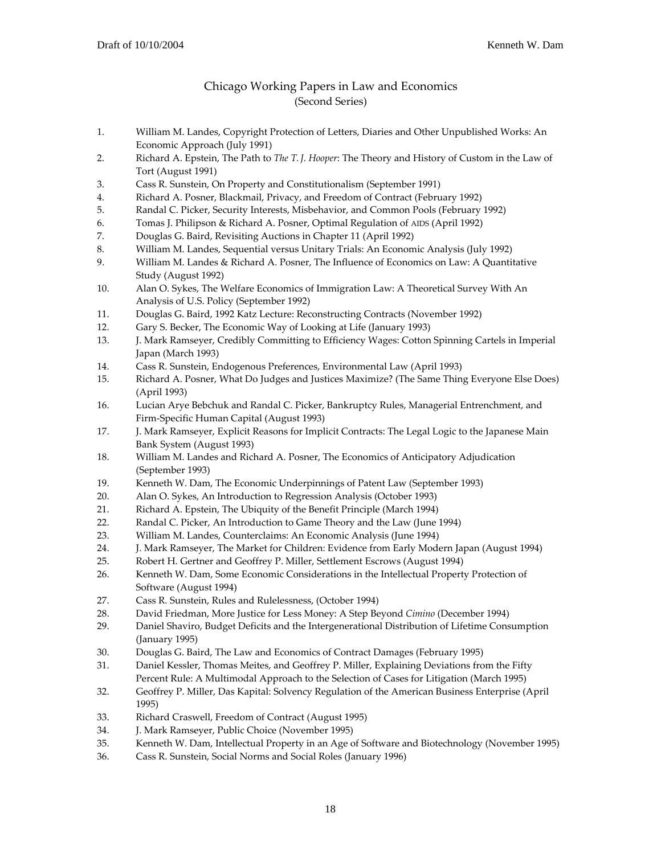#### Chicago Working Papers in Law and Economics (Second Series)

- 1. William M. Landes, Copyright Protection of Letters, Diaries and Other Unpublished Works: An Economic Approach (July 1991)
- 2. Richard A. Epstein, The Path to *The T. J. Hooper*: The Theory and History of Custom in the Law of Tort (August 1991)
- 3. Cass R. Sunstein, On Property and Constitutionalism (September 1991)
- 4. Richard A. Posner, Blackmail, Privacy, and Freedom of Contract (February 1992)
- 5. Randal C. Picker, Security Interests, Misbehavior, and Common Pools (February 1992)
- 6. Tomas J. Philipson & Richard A. Posner, Optimal Regulation of AIDS (April 1992)
- 7. Douglas G. Baird, Revisiting Auctions in Chapter 11 (April 1992)
- 8. William M. Landes, Sequential versus Unitary Trials: An Economic Analysis (July 1992)
- 9. William M. Landes & Richard A. Posner, The Influence of Economics on Law: A Quantitative Study (August 1992)
- 10. Alan O. Sykes, The Welfare Economics of Immigration Law: A Theoretical Survey With An Analysis of U.S. Policy (September 1992)
- 11. Douglas G. Baird, 1992 Katz Lecture: Reconstructing Contracts (November 1992)
- 12. Gary S. Becker, The Economic Way of Looking at Life (January 1993)
- 13. J. Mark Ramseyer, Credibly Committing to Efficiency Wages: Cotton Spinning Cartels in Imperial Japan (March 1993)
- 14. Cass R. Sunstein, Endogenous Preferences, Environmental Law (April 1993)
- 15. Richard A. Posner, What Do Judges and Justices Maximize? (The Same Thing Everyone Else Does) (April 1993)
- 16. Lucian Arye Bebchuk and Randal C. Picker, Bankruptcy Rules, Managerial Entrenchment, and Firm-Specific Human Capital (August 1993)
- 17. J. Mark Ramseyer, Explicit Reasons for Implicit Contracts: The Legal Logic to the Japanese Main Bank System (August 1993)
- 18. William M. Landes and Richard A. Posner, The Economics of Anticipatory Adjudication (September 1993)
- 19. Kenneth W. Dam, The Economic Underpinnings of Patent Law (September 1993)
- 20. Alan O. Sykes, An Introduction to Regression Analysis (October 1993)
- 21. Richard A. Epstein, The Ubiquity of the Benefit Principle (March 1994)
- 22. Randal C. Picker, An Introduction to Game Theory and the Law (June 1994)
- 23. William M. Landes, Counterclaims: An Economic Analysis (June 1994)
- 24. J. Mark Ramseyer, The Market for Children: Evidence from Early Modern Japan (August 1994)
- 25. Robert H. Gertner and Geoffrey P. Miller, Settlement Escrows (August 1994)
- 26. Kenneth W. Dam, Some Economic Considerations in the Intellectual Property Protection of Software (August 1994)
- 27. Cass R. Sunstein, Rules and Rulelessness, (October 1994)
- 28. David Friedman, More Justice for Less Money: A Step Beyond *Cimino* (December 1994)
- 29. Daniel Shaviro, Budget Deficits and the Intergenerational Distribution of Lifetime Consumption (January 1995)
- 30. Douglas G. Baird, The Law and Economics of Contract Damages (February 1995)
- 31. Daniel Kessler, Thomas Meites, and Geoffrey P. Miller, Explaining Deviations from the Fifty Percent Rule: A Multimodal Approach to the Selection of Cases for Litigation (March 1995)
- 32. Geoffrey P. Miller, Das Kapital: Solvency Regulation of the American Business Enterprise (April 1995)
- 33. Richard Craswell, Freedom of Contract (August 1995)
- 34. J. Mark Ramseyer, Public Choice (November 1995)
- 35. Kenneth W. Dam, Intellectual Property in an Age of Software and Biotechnology (November 1995)
- 36. Cass R. Sunstein, Social Norms and Social Roles (January 1996)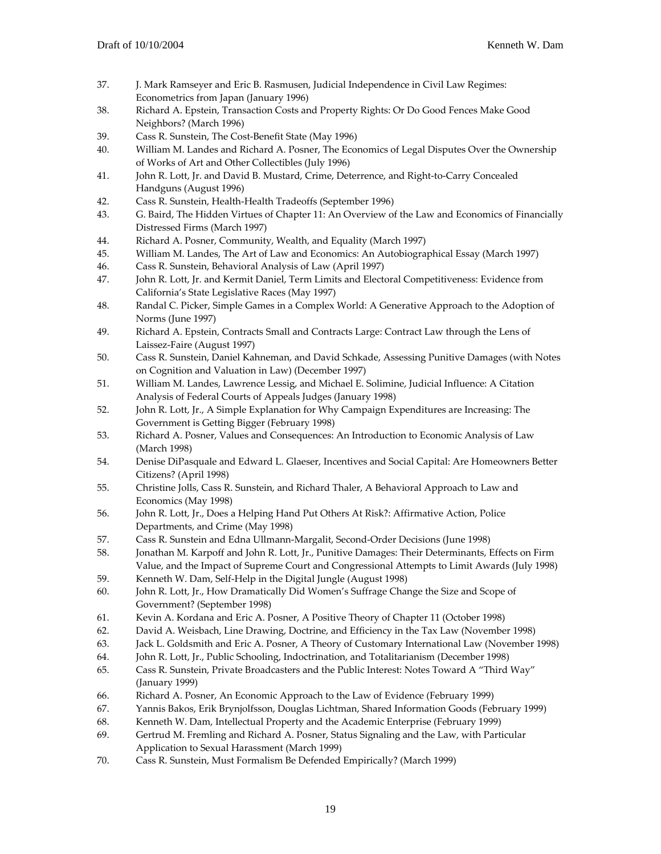- 37. J. Mark Ramseyer and Eric B. Rasmusen, Judicial Independence in Civil Law Regimes: Econometrics from Japan (January 1996)
- 38. Richard A. Epstein, Transaction Costs and Property Rights: Or Do Good Fences Make Good Neighbors? (March 1996)
- 39. Cass R. Sunstein, The Cost-Benefit State (May 1996)
- 40. William M. Landes and Richard A. Posner, The Economics of Legal Disputes Over the Ownership of Works of Art and Other Collectibles (July 1996)
- 41. John R. Lott, Jr. and David B. Mustard, Crime, Deterrence, and Right-to-Carry Concealed Handguns (August 1996)
- 42. Cass R. Sunstein, Health-Health Tradeoffs (September 1996)
- 43. G. Baird, The Hidden Virtues of Chapter 11: An Overview of the Law and Economics of Financially Distressed Firms (March 1997)
- 44. Richard A. Posner, Community, Wealth, and Equality (March 1997)
- 45. William M. Landes, The Art of Law and Economics: An Autobiographical Essay (March 1997)
- 46. Cass R. Sunstein, Behavioral Analysis of Law (April 1997)
- 47. John R. Lott, Jr. and Kermit Daniel, Term Limits and Electoral Competitiveness: Evidence from California's State Legislative Races (May 1997)
- 48. Randal C. Picker, Simple Games in a Complex World: A Generative Approach to the Adoption of Norms (June 1997)
- 49. Richard A. Epstein, Contracts Small and Contracts Large: Contract Law through the Lens of Laissez-Faire (August 1997)
- 50. Cass R. Sunstein, Daniel Kahneman, and David Schkade, Assessing Punitive Damages (with Notes on Cognition and Valuation in Law) (December 1997)
- 51. William M. Landes, Lawrence Lessig, and Michael E. Solimine, Judicial Influence: A Citation Analysis of Federal Courts of Appeals Judges (January 1998)
- 52. John R. Lott, Jr., A Simple Explanation for Why Campaign Expenditures are Increasing: The Government is Getting Bigger (February 1998)
- 53. Richard A. Posner, Values and Consequences: An Introduction to Economic Analysis of Law (March 1998)
- 54. Denise DiPasquale and Edward L. Glaeser, Incentives and Social Capital: Are Homeowners Better Citizens? (April 1998)
- 55. Christine Jolls, Cass R. Sunstein, and Richard Thaler, A Behavioral Approach to Law and Economics (May 1998)
- 56. John R. Lott, Jr., Does a Helping Hand Put Others At Risk?: Affirmative Action, Police Departments, and Crime (May 1998)
- 57. Cass R. Sunstein and Edna Ullmann-Margalit, Second-Order Decisions (June 1998)
- 58. Jonathan M. Karpoff and John R. Lott, Jr., Punitive Damages: Their Determinants, Effects on Firm Value, and the Impact of Supreme Court and Congressional Attempts to Limit Awards (July 1998)
- 59. Kenneth W. Dam, Self-Help in the Digital Jungle (August 1998)
- 60. John R. Lott, Jr., How Dramatically Did Women's Suffrage Change the Size and Scope of Government? (September 1998)
- 61. Kevin A. Kordana and Eric A. Posner, A Positive Theory of Chapter 11 (October 1998)
- 62. David A. Weisbach, Line Drawing, Doctrine, and Efficiency in the Tax Law (November 1998)
- 63. Jack L. Goldsmith and Eric A. Posner, A Theory of Customary International Law (November 1998)
- 64. John R. Lott, Jr., Public Schooling, Indoctrination, and Totalitarianism (December 1998)
- 65. Cass R. Sunstein, Private Broadcasters and the Public Interest: Notes Toward A "Third Way" (January 1999)
- 66. Richard A. Posner, An Economic Approach to the Law of Evidence (February 1999)
- 67. Yannis Bakos, Erik Brynjolfsson, Douglas Lichtman, Shared Information Goods (February 1999)
- 68. Kenneth W. Dam, Intellectual Property and the Academic Enterprise (February 1999)
- 69. Gertrud M. Fremling and Richard A. Posner, Status Signaling and the Law, with Particular Application to Sexual Harassment (March 1999)
- 70. Cass R. Sunstein, Must Formalism Be Defended Empirically? (March 1999)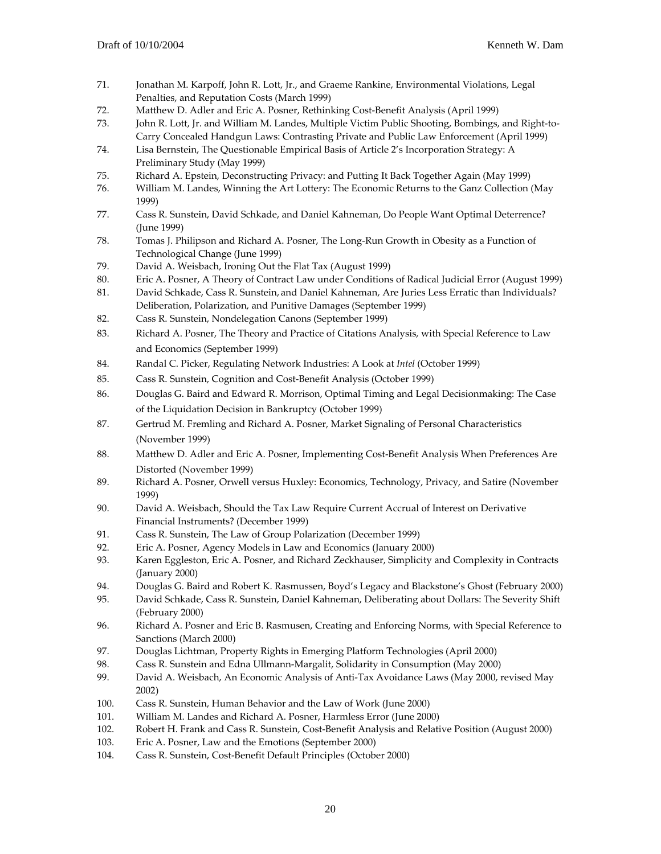- 71. Jonathan M. Karpoff, John R. Lott, Jr., and Graeme Rankine, Environmental Violations, Legal Penalties, and Reputation Costs (March 1999)
- 72. Matthew D. Adler and Eric A. Posner, Rethinking Cost-Benefit Analysis (April 1999)
- 73. John R. Lott, Jr. and William M. Landes, Multiple Victim Public Shooting, Bombings, and Right-to-Carry Concealed Handgun Laws: Contrasting Private and Public Law Enforcement (April 1999)
- 74. Lisa Bernstein, The Questionable Empirical Basis of Article 2's Incorporation Strategy: A Preliminary Study (May 1999)
- 75. Richard A. Epstein, Deconstructing Privacy: and Putting It Back Together Again (May 1999)
- 76. William M. Landes, Winning the Art Lottery: The Economic Returns to the Ganz Collection (May 1999)
- 77. Cass R. Sunstein, David Schkade, and Daniel Kahneman, Do People Want Optimal Deterrence? (June 1999)
- 78. Tomas J. Philipson and Richard A. Posner, The Long-Run Growth in Obesity as a Function of Technological Change (June 1999)
- 79. David A. Weisbach, Ironing Out the Flat Tax (August 1999)
- 80. Eric A. Posner, A Theory of Contract Law under Conditions of Radical Judicial Error (August 1999)
- 81. David Schkade, Cass R. Sunstein, and Daniel Kahneman, Are Juries Less Erratic than Individuals? Deliberation, Polarization, and Punitive Damages (September 1999)
- 82. Cass R. Sunstein, Nondelegation Canons (September 1999)
- 83. Richard A. Posner, The Theory and Practice of Citations Analysis, with Special Reference to Law and Economics (September 1999)
- 84. Randal C. Picker, Regulating Network Industries: A Look at *Intel* (October 1999)
- 85. Cass R. Sunstein, Cognition and Cost-Benefit Analysis (October 1999)
- 86. Douglas G. Baird and Edward R. Morrison, Optimal Timing and Legal Decisionmaking: The Case of the Liquidation Decision in Bankruptcy (October 1999)
- 87. Gertrud M. Fremling and Richard A. Posner, Market Signaling of Personal Characteristics (November 1999)
- 88. Matthew D. Adler and Eric A. Posner, Implementing Cost-Benefit Analysis When Preferences Are Distorted (November 1999)
- 89. Richard A. Posner, Orwell versus Huxley: Economics, Technology, Privacy, and Satire (November 1999)
- 90. David A. Weisbach, Should the Tax Law Require Current Accrual of Interest on Derivative Financial Instruments? (December 1999)
- 91. Cass R. Sunstein, The Law of Group Polarization (December 1999)
- 92. Eric A. Posner, Agency Models in Law and Economics (January 2000)
- 93. Karen Eggleston, Eric A. Posner, and Richard Zeckhauser, Simplicity and Complexity in Contracts (January 2000)
- 94. Douglas G. Baird and Robert K. Rasmussen, Boyd's Legacy and Blackstone's Ghost (February 2000)
- 95. David Schkade, Cass R. Sunstein, Daniel Kahneman, Deliberating about Dollars: The Severity Shift (February 2000)
- 96. Richard A. Posner and Eric B. Rasmusen, Creating and Enforcing Norms, with Special Reference to Sanctions (March 2000)
- 97. Douglas Lichtman, Property Rights in Emerging Platform Technologies (April 2000)
- 98. Cass R. Sunstein and Edna Ullmann-Margalit, Solidarity in Consumption (May 2000)
- 99. David A. Weisbach, An Economic Analysis of Anti-Tax Avoidance Laws (May 2000, revised May 2002)
- 100. Cass R. Sunstein, Human Behavior and the Law of Work (June 2000)
- 101. William M. Landes and Richard A. Posner, Harmless Error (June 2000)
- 102. Robert H. Frank and Cass R. Sunstein, Cost-Benefit Analysis and Relative Position (August 2000)
- 103. Eric A. Posner, Law and the Emotions (September 2000)
- 104. Cass R. Sunstein, Cost-Benefit Default Principles (October 2000)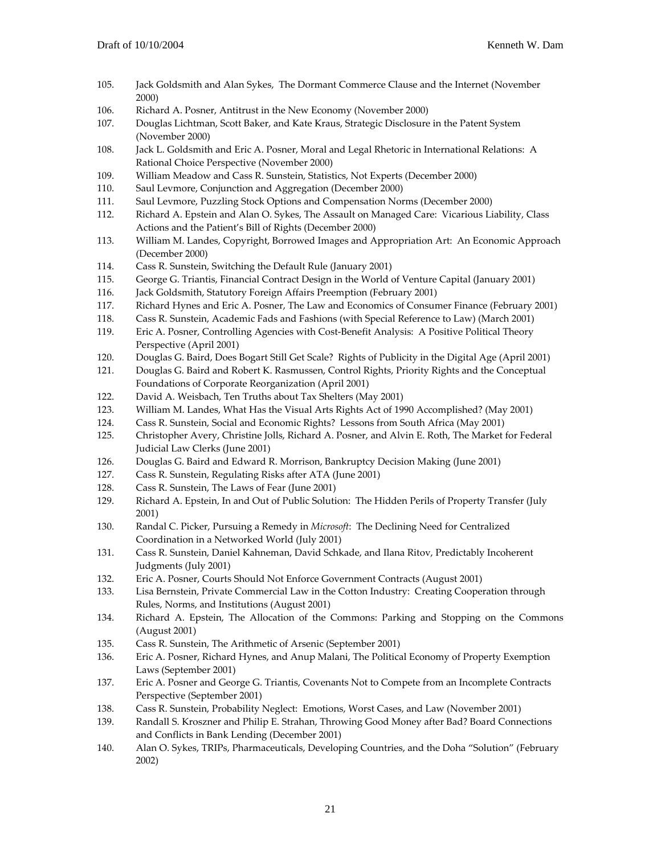- 105. Jack Goldsmith and Alan Sykes, The Dormant Commerce Clause and the Internet (November 2000)
- 106. Richard A. Posner, Antitrust in the New Economy (November 2000)
- 107. Douglas Lichtman, Scott Baker, and Kate Kraus, Strategic Disclosure in the Patent System (November 2000)
- 108. Jack L. Goldsmith and Eric A. Posner, Moral and Legal Rhetoric in International Relations: A Rational Choice Perspective (November 2000)
- 109. William Meadow and Cass R. Sunstein, Statistics, Not Experts (December 2000)
- 110. Saul Levmore, Conjunction and Aggregation (December 2000)
- 111. Saul Levmore, Puzzling Stock Options and Compensation Norms (December 2000)
- 112. Richard A. Epstein and Alan O. Sykes, The Assault on Managed Care: Vicarious Liability, Class Actions and the Patient's Bill of Rights (December 2000)
- 113. William M. Landes, Copyright, Borrowed Images and Appropriation Art: An Economic Approach (December 2000)
- 114. Cass R. Sunstein, Switching the Default Rule (January 2001)
- 115. George G. Triantis, Financial Contract Design in the World of Venture Capital (January 2001)
- 116. Jack Goldsmith, Statutory Foreign Affairs Preemption (February 2001)
- 117. Richard Hynes and Eric A. Posner, The Law and Economics of Consumer Finance (February 2001)
- 118. Cass R. Sunstein, Academic Fads and Fashions (with Special Reference to Law) (March 2001)
- 119. Eric A. Posner, Controlling Agencies with Cost-Benefit Analysis: A Positive Political Theory Perspective (April 2001)
- 120. Douglas G. Baird, Does Bogart Still Get Scale? Rights of Publicity in the Digital Age (April 2001)
- 121. Douglas G. Baird and Robert K. Rasmussen, Control Rights, Priority Rights and the Conceptual Foundations of Corporate Reorganization (April 2001)
- 122. David A. Weisbach, Ten Truths about Tax Shelters (May 2001)
- 123. William M. Landes, What Has the Visual Arts Rights Act of 1990 Accomplished? (May 2001)
- 124. Cass R. Sunstein, Social and Economic Rights? Lessons from South Africa (May 2001)
- 125. Christopher Avery, Christine Jolls, Richard A. Posner, and Alvin E. Roth, The Market for Federal Judicial Law Clerks (June 2001)
- 126. Douglas G. Baird and Edward R. Morrison, Bankruptcy Decision Making (June 2001)
- 127. Cass R. Sunstein, Regulating Risks after ATA (June 2001)
- 128. Cass R. Sunstein, The Laws of Fear (June 2001)
- 129. Richard A. Epstein, In and Out of Public Solution: The Hidden Perils of Property Transfer (July 2001)
- 130. Randal C. Picker, Pursuing a Remedy in *Microsoft*: The Declining Need for Centralized Coordination in a Networked World (July 2001)
- 131. Cass R. Sunstein, Daniel Kahneman, David Schkade, and Ilana Ritov, Predictably Incoherent Judgments (July 2001)
- 132. Eric A. Posner, Courts Should Not Enforce Government Contracts (August 2001)
- 133. Lisa Bernstein, Private Commercial Law in the Cotton Industry: Creating Cooperation through Rules, Norms, and Institutions (August 2001)
- 134. Richard A. Epstein, The Allocation of the Commons: Parking and Stopping on the Commons (August 2001)
- 135. Cass R. Sunstein, The Arithmetic of Arsenic (September 2001)
- 136. Eric A. Posner, Richard Hynes, and Anup Malani, The Political Economy of Property Exemption Laws (September 2001)
- 137. Eric A. Posner and George G. Triantis, Covenants Not to Compete from an Incomplete Contracts Perspective (September 2001)
- 138. Cass R. Sunstein, Probability Neglect: Emotions, Worst Cases, and Law (November 2001)
- 139. Randall S. Kroszner and Philip E. Strahan, Throwing Good Money after Bad? Board Connections and Conflicts in Bank Lending (December 2001)
- 140. Alan O. Sykes, TRIPs, Pharmaceuticals, Developing Countries, and the Doha "Solution" (February 2002)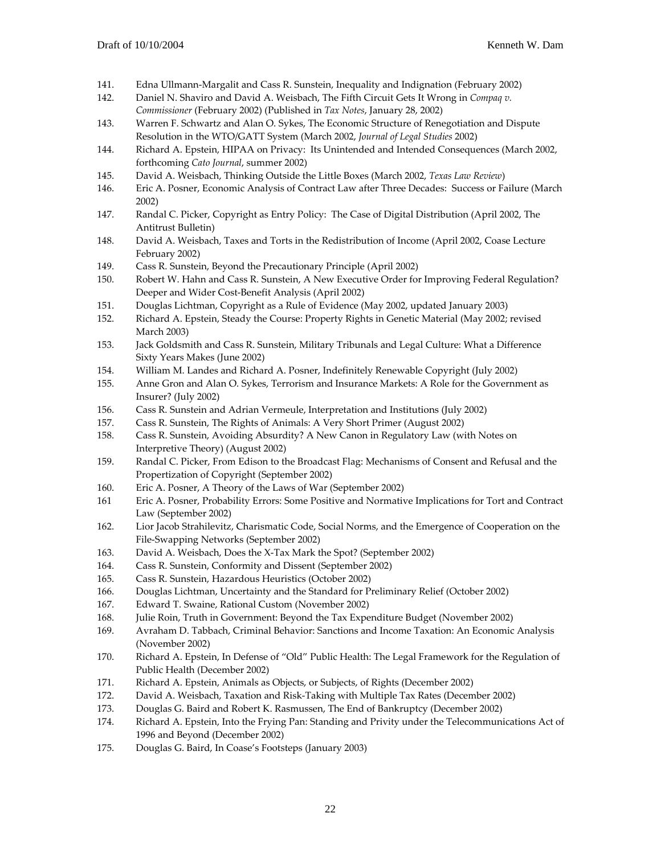- 141. Edna Ullmann-Margalit and Cass R. Sunstein, Inequality and Indignation (February 2002)
- 142. Daniel N. Shaviro and David A. Weisbach, The Fifth Circuit Gets It Wrong in *Compaq v. Commissioner* (February 2002) (Published in *Tax Notes*, January 28, 2002)
- 143. Warren F. Schwartz and Alan O. Sykes, The Economic Structure of Renegotiation and Dispute Resolution in the WTO/GATT System (March 2002, *Journal of Legal Studies* 2002)
- 144. Richard A. Epstein, HIPAA on Privacy: Its Unintended and Intended Consequences (March 2002, forthcoming *Cato Journal*, summer 2002)
- 145. David A. Weisbach, Thinking Outside the Little Boxes (March 2002, *Texas Law Review*)
- 146. Eric A. Posner, Economic Analysis of Contract Law after Three Decades: Success or Failure (March 2002)
- 147. Randal C. Picker, Copyright as Entry Policy: The Case of Digital Distribution (April 2002, The Antitrust Bulletin)
- 148. David A. Weisbach, Taxes and Torts in the Redistribution of Income (April 2002, Coase Lecture February 2002)
- 149. Cass R. Sunstein, Beyond the Precautionary Principle (April 2002)
- 150. Robert W. Hahn and Cass R. Sunstein, A New Executive Order for Improving Federal Regulation? Deeper and Wider Cost-Benefit Analysis (April 2002)
- 151. Douglas Lichtman, Copyright as a Rule of Evidence (May 2002, updated January 2003)
- 152. Richard A. Epstein, Steady the Course: Property Rights in Genetic Material (May 2002; revised March 2003)
- 153. Jack Goldsmith and Cass R. Sunstein, Military Tribunals and Legal Culture: What a Difference Sixty Years Makes (June 2002)
- 154. William M. Landes and Richard A. Posner, Indefinitely Renewable Copyright (July 2002)
- 155. Anne Gron and Alan O. Sykes, Terrorism and Insurance Markets: A Role for the Government as Insurer? (July 2002)
- 156. Cass R. Sunstein and Adrian Vermeule, Interpretation and Institutions (July 2002)
- 157. Cass R. Sunstein, The Rights of Animals: A Very Short Primer (August 2002)
- 158. Cass R. Sunstein, Avoiding Absurdity? A New Canon in Regulatory Law (with Notes on Interpretive Theory) (August 2002)
- 159. Randal C. Picker, From Edison to the Broadcast Flag: Mechanisms of Consent and Refusal and the Propertization of Copyright (September 2002)
- 160. Eric A. Posner, A Theory of the Laws of War (September 2002)
- 161 Eric A. Posner, Probability Errors: Some Positive and Normative Implications for Tort and Contract Law (September 2002)
- 162. Lior Jacob Strahilevitz, Charismatic Code, Social Norms, and the Emergence of Cooperation on the File-Swapping Networks (September 2002)
- 163. David A. Weisbach, Does the X-Tax Mark the Spot? (September 2002)
- 164. Cass R. Sunstein, Conformity and Dissent (September 2002)
- 165. Cass R. Sunstein, Hazardous Heuristics (October 2002)
- 166. Douglas Lichtman, Uncertainty and the Standard for Preliminary Relief (October 2002)
- 167. Edward T. Swaine, Rational Custom (November 2002)
- 168. Julie Roin, Truth in Government: Beyond the Tax Expenditure Budget (November 2002)
- 169. Avraham D. Tabbach, Criminal Behavior: Sanctions and Income Taxation: An Economic Analysis (November 2002)
- 170. Richard A. Epstein, In Defense of "Old" Public Health: The Legal Framework for the Regulation of Public Health (December 2002)
- 171. Richard A. Epstein, Animals as Objects, or Subjects, of Rights (December 2002)
- 172. David A. Weisbach, Taxation and Risk-Taking with Multiple Tax Rates (December 2002)
- 173. Douglas G. Baird and Robert K. Rasmussen, The End of Bankruptcy (December 2002)
- 174. Richard A. Epstein, Into the Frying Pan: Standing and Privity under the Telecommunications Act of 1996 and Beyond (December 2002)
- 175. Douglas G. Baird, In Coase's Footsteps (January 2003)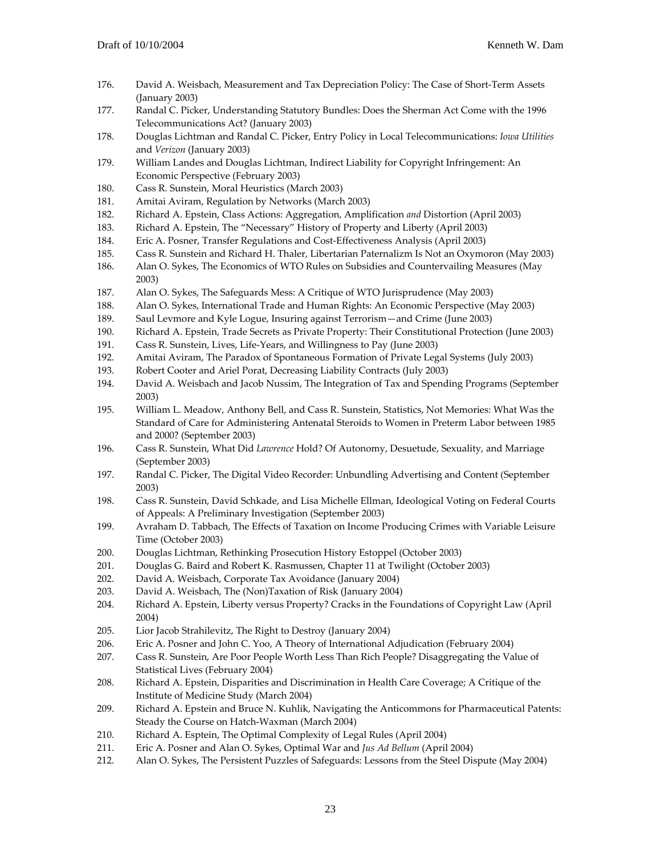- 176. David A. Weisbach, Measurement and Tax Depreciation Policy: The Case of Short-Term Assets (January 2003)
- 177. Randal C. Picker, Understanding Statutory Bundles: Does the Sherman Act Come with the 1996 Telecommunications Act? (January 2003)
- 178. Douglas Lichtman and Randal C. Picker, Entry Policy in Local Telecommunications: *Iowa Utilities* and *Verizon* (January 2003)
- 179. William Landes and Douglas Lichtman, Indirect Liability for Copyright Infringement: An Economic Perspective (February 2003)
- 180. Cass R. Sunstein, Moral Heuristics (March 2003)
- 181. Amitai Aviram, Regulation by Networks (March 2003)
- 182. Richard A. Epstein, Class Actions: Aggregation, Amplification *and* Distortion (April 2003)
- 183. Richard A. Epstein, The "Necessary" History of Property and Liberty (April 2003)
- 184. Eric A. Posner, Transfer Regulations and Cost-Effectiveness Analysis (April 2003)
- 185. Cass R. Sunstein and Richard H. Thaler, Libertarian Paternalizm Is Not an Oxymoron (May 2003)
- 186. Alan O. Sykes, The Economics of WTO Rules on Subsidies and Countervailing Measures (May 2003)
- 187. Alan O. Sykes, The Safeguards Mess: A Critique of WTO Jurisprudence (May 2003)
- 188. Alan O. Sykes, International Trade and Human Rights: An Economic Perspective (May 2003)
- 189. Saul Levmore and Kyle Logue, Insuring against Terrorism—and Crime (June 2003)
- 190. Richard A. Epstein, Trade Secrets as Private Property: Their Constitutional Protection (June 2003)
- 191. Cass R. Sunstein, Lives, Life-Years, and Willingness to Pay (June 2003)
- 192. Amitai Aviram, The Paradox of Spontaneous Formation of Private Legal Systems (July 2003)
- 193. Robert Cooter and Ariel Porat, Decreasing Liability Contracts (July 2003)
- 194. David A. Weisbach and Jacob Nussim, The Integration of Tax and Spending Programs (September 2003)
- 195. William L. Meadow, Anthony Bell, and Cass R. Sunstein, Statistics, Not Memories: What Was the Standard of Care for Administering Antenatal Steroids to Women in Preterm Labor between 1985 and 2000? (September 2003)
- 196. Cass R. Sunstein, What Did *Lawrence* Hold? Of Autonomy, Desuetude, Sexuality, and Marriage (September 2003)
- 197. Randal C. Picker, The Digital Video Recorder: Unbundling Advertising and Content (September 2003)
- 198. Cass R. Sunstein, David Schkade, and Lisa Michelle Ellman, Ideological Voting on Federal Courts of Appeals: A Preliminary Investigation (September 2003)
- 199. Avraham D. Tabbach, The Effects of Taxation on Income Producing Crimes with Variable Leisure Time (October 2003)
- 200. Douglas Lichtman, Rethinking Prosecution History Estoppel (October 2003)
- 201. Douglas G. Baird and Robert K. Rasmussen, Chapter 11 at Twilight (October 2003)
- 202. David A. Weisbach, Corporate Tax Avoidance (January 2004)
- 203. David A. Weisbach, The (Non)Taxation of Risk (January 2004)
- 204. Richard A. Epstein, Liberty versus Property? Cracks in the Foundations of Copyright Law (April 2004)
- 205. Lior Jacob Strahilevitz, The Right to Destroy (January 2004)
- 206. Eric A. Posner and John C. Yoo, A Theory of International Adjudication (February 2004)
- 207. Cass R. Sunstein, Are Poor People Worth Less Than Rich People? Disaggregating the Value of Statistical Lives (February 2004)
- 208. Richard A. Epstein, Disparities and Discrimination in Health Care Coverage; A Critique of the Institute of Medicine Study (March 2004)
- 209. Richard A. Epstein and Bruce N. Kuhlik, Navigating the Anticommons for Pharmaceutical Patents: Steady the Course on Hatch-Waxman (March 2004)
- 210. Richard A. Esptein, The Optimal Complexity of Legal Rules (April 2004)
- 211. Eric A. Posner and Alan O. Sykes, Optimal War and *Jus Ad Bellum* (April 2004)
- 212. Alan O. Sykes, The Persistent Puzzles of Safeguards: Lessons from the Steel Dispute (May 2004)